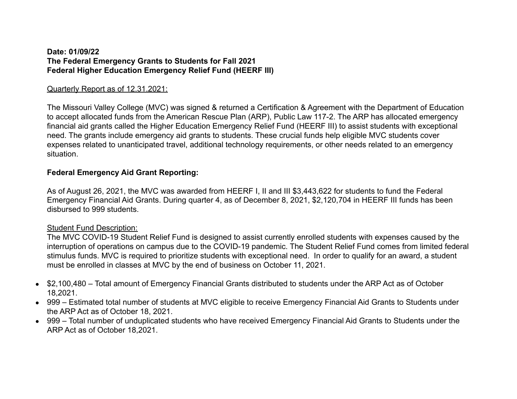#### **Date: 01/09/22 The Federal Emergency Grants to Students for Fall 2021 Federal Higher Education Emergency Relief Fund (HEERF III)**

## Quarterly Report as of 12.31.2021:

The Missouri Valley College (MVC) was signed & returned a Certification & Agreement with the Department of Education to accept allocated funds from the American Rescue Plan (ARP), Public Law 117-2. The ARP has allocated emergency financial aid grants called the Higher Education Emergency Relief Fund (HEERF III) to assist students with exceptional need. The grants include emergency aid grants to students. These crucial funds help eligible MVC students cover expenses related to unanticipated travel, additional technology requirements, or other needs related to an emergency situation.

# **Federal Emergency Aid Grant Reporting:**

As of August 26, 2021, the MVC was awarded from HEERF I, II and III \$3,443,622 for students to fund the Federal Emergency Financial Aid Grants. During quarter 4, as of December 8, 2021, \$2,120,704 in HEERF III funds has been disbursed to 999 students.

## Student Fund Description:

The MVC COVID-19 Student Relief Fund is designed to assist currently enrolled students with expenses caused by the interruption of operations on campus due to the COVID-19 pandemic. The Student Relief Fund comes from limited federal stimulus funds. MVC is required to prioritize students with exceptional need. In order to qualify for an award, a student must be enrolled in classes at MVC by the end of business on October 11, 2021.

- \$2,100,480 Total amount of Emergency Financial Grants distributed to students under the ARP Act as of October 18,2021.
- 999 Estimated total number of students at MVC eligible to receive Emergency Financial Aid Grants to Students under the ARP Act as of October 18, 2021.
- 999 Total number of unduplicated students who have received Emergency Financial Aid Grants to Students under the ARP Act as of October 18,2021.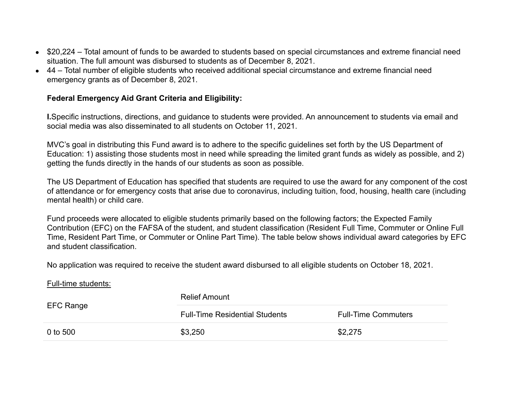- \$20,224 Total amount of funds to be awarded to students based on special circumstances and extreme financial need situation. The full amount was disbursed to students as of December 8, 2021.
- 44 Total number of eligible students who received additional special circumstance and extreme financial need emergency grants as of December 8, 2021.

#### **Federal Emergency Aid Grant Criteria and Eligibility:**

**I.**Specific instructions, directions, and guidance to students were provided. An announcement to students via email and social media was also disseminated to all students on October 11, 2021.

MVC's goal in distributing this Fund award is to adhere to the specific guidelines set forth by the US Department of Education: 1) assisting those students most in need while spreading the limited grant funds as widely as possible, and 2) getting the funds directly in the hands of our students as soon as possible.

The US Department of Education has specified that students are required to use the award for any component of the cost of attendance or for emergency costs that arise due to coronavirus, including tuition, food, housing, health care (including mental health) or child care.

Fund proceeds were allocated to eligible students primarily based on the following factors; the Expected Family Contribution (EFC) on the FAFSA of the student, and student classification (Resident Full Time, Commuter or Online Full Time, Resident Part Time, or Commuter or Online Part Time). The table below shows individual award categories by EFC and student classification.

No application was required to receive the student award disbursed to all eligible students on October 18, 2021.

Full-time students:

| EFC Range | <b>Relief Amount</b>                  |                            |
|-----------|---------------------------------------|----------------------------|
|           | <b>Full-Time Residential Students</b> | <b>Full-Time Commuters</b> |
| 0 to 500  | \$3,250                               | \$2,275                    |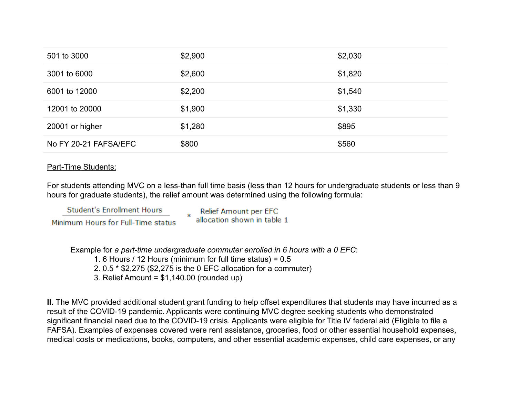| 501 to 3000           | \$2,900 | \$2,030 |
|-----------------------|---------|---------|
| 3001 to 6000          | \$2,600 | \$1,820 |
| 6001 to 12000         | \$2,200 | \$1,540 |
| 12001 to 20000        | \$1,900 | \$1,330 |
| 20001 or higher       | \$1,280 | \$895   |
| No FY 20-21 FAFSA/EFC | \$800   | \$560   |

## Part-Time Students:

For students attending MVC on a less-than full time basis (less than 12 hours for undergraduate students or less than 9 hours for graduate students), the relief amount was determined using the following formula:

**Student's Enrollment Hours** Minimum Hours for Full-Time status Relief Amount per EFC allocation shown in table 1

Example for *a part-time undergraduate commuter enrolled in 6 hours with a 0 EFC*:

1. 6 Hours / 12 Hours (minimum for full time status) = 0.5

2. 0.5 \* \$2,275 (\$2,275 is the 0 EFC allocation for a commuter)

3. Relief Amount = \$1,140.00 (rounded up)

**II.** The MVC provided additional student grant funding to help offset expenditures that students may have incurred as a result of the COVID-19 pandemic. Applicants were continuing MVC degree seeking students who demonstrated significant financial need due to the COVID-19 crisis. Applicants were eligible for Title IV federal aid (Eligible to file a FAFSA). Examples of expenses covered were rent assistance, groceries, food or other essential household expenses, medical costs or medications, books, computers, and other essential academic expenses, child care expenses, or any